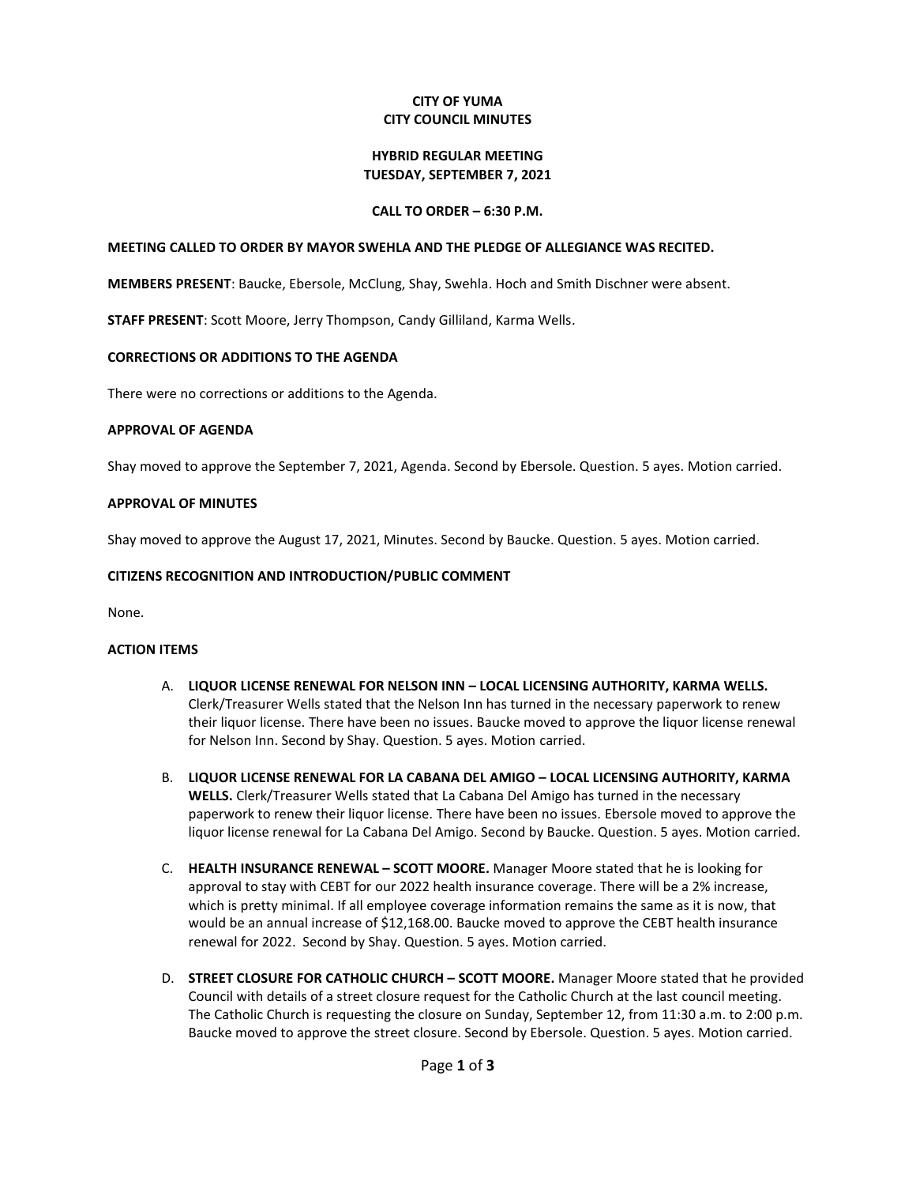# **CITY OF YUMA CITY COUNCIL MINUTES**

#### **HYBRID REGULAR MEETING TUESDAY, SEPTEMBER 7, 2021**

# **CALL TO ORDER – 6:30 P.M.**

### **MEETING CALLED TO ORDER BY MAYOR SWEHLA AND THE PLEDGE OF ALLEGIANCE WAS RECITED.**

**MEMBERS PRESENT**: Baucke, Ebersole, McClung, Shay, Swehla. Hoch and Smith Dischner were absent.

**STAFF PRESENT**: Scott Moore, Jerry Thompson, Candy Gilliland, Karma Wells.

#### **CORRECTIONS OR ADDITIONS TO THE AGENDA**

There were no corrections or additions to the Agenda.

#### **APPROVAL OF AGENDA**

Shay moved to approve the September 7, 2021, Agenda. Second by Ebersole. Question. 5 ayes. Motion carried.

### **APPROVAL OF MINUTES**

Shay moved to approve the August 17, 2021, Minutes. Second by Baucke. Question. 5 ayes. Motion carried.

#### **CITIZENS RECOGNITION AND INTRODUCTION/PUBLIC COMMENT**

None.

# **ACTION ITEMS**

- A. **LIQUOR LICENSE RENEWAL FOR NELSON INN – LOCAL LICENSING AUTHORITY, KARMA WELLS.** Clerk/Treasurer Wells stated that the Nelson Inn has turned in the necessary paperwork to renew their liquor license. There have been no issues. Baucke moved to approve the liquor license renewal for Nelson Inn. Second by Shay. Question. 5 ayes. Motion carried.
- B. **LIQUOR LICENSE RENEWAL FOR LA CABANA DEL AMIGO – LOCAL LICENSING AUTHORITY, KARMA WELLS.** Clerk/Treasurer Wells stated that La Cabana Del Amigo has turned in the necessary paperwork to renew their liquor license. There have been no issues. Ebersole moved to approve the liquor license renewal for La Cabana Del Amigo. Second by Baucke. Question. 5 ayes. Motion carried.
- C. **HEALTH INSURANCE RENEWAL – SCOTT MOORE.** Manager Moore stated that he is looking for approval to stay with CEBT for our 2022 health insurance coverage. There will be a 2% increase, which is pretty minimal. If all employee coverage information remains the same as it is now, that would be an annual increase of \$12,168.00. Baucke moved to approve the CEBT health insurance renewal for 2022. Second by Shay. Question. 5 ayes. Motion carried.
- D. **STREET CLOSURE FOR CATHOLIC CHURCH – SCOTT MOORE.** Manager Moore stated that he provided Council with details of a street closure request for the Catholic Church at the last council meeting. The Catholic Church is requesting the closure on Sunday, September 12, from 11:30 a.m. to 2:00 p.m. Baucke moved to approve the street closure. Second by Ebersole. Question. 5 ayes. Motion carried.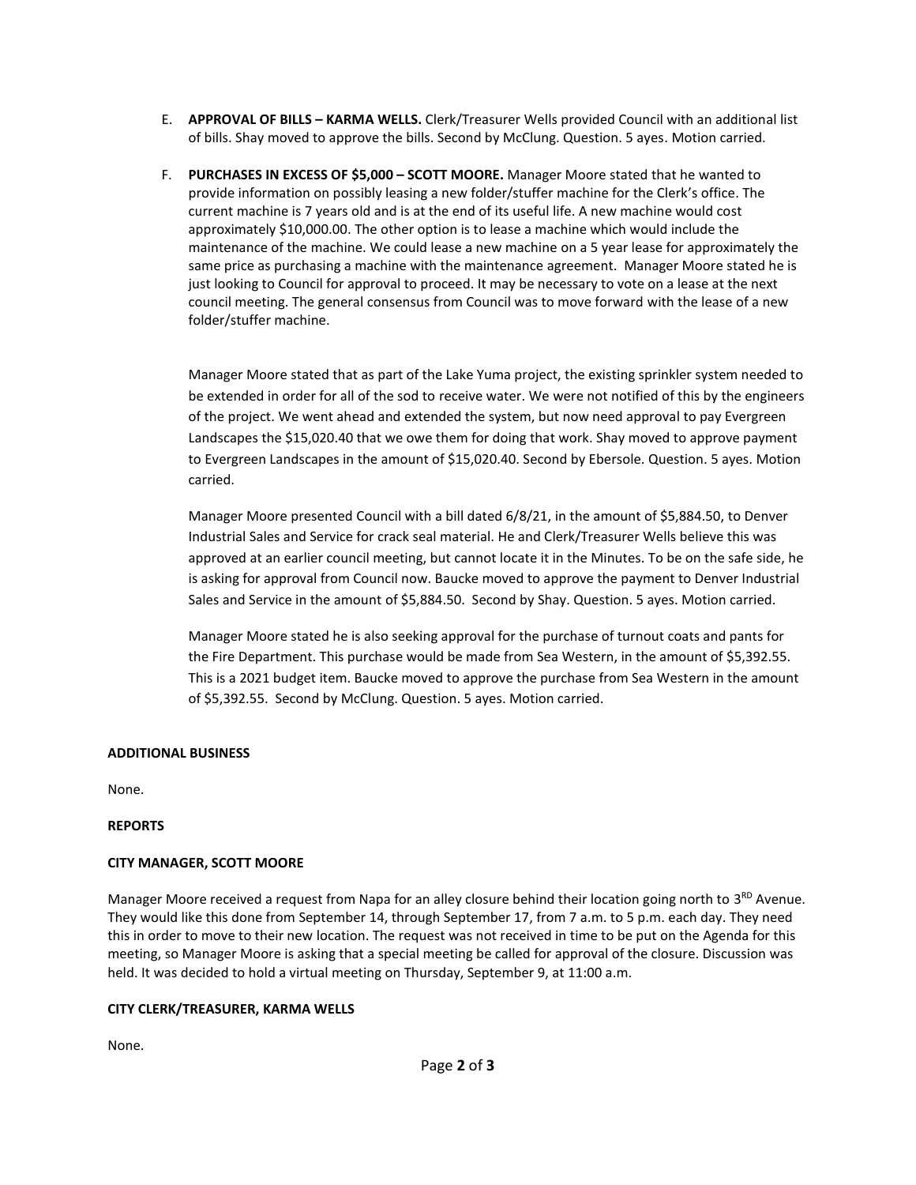- E. **APPROVAL OF BILLS – KARMA WELLS.** Clerk/Treasurer Wells provided Council with an additional list of bills. Shay moved to approve the bills. Second by McClung. Question. 5 ayes. Motion carried.
- F. **PURCHASES IN EXCESS OF \$5,000 – SCOTT MOORE.** Manager Moore stated that he wanted to provide information on possibly leasing a new folder/stuffer machine for the Clerk's office. The current machine is 7 years old and is at the end of its useful life. A new machine would cost approximately \$10,000.00. The other option is to lease a machine which would include the maintenance of the machine. We could lease a new machine on a 5 year lease for approximately the same price as purchasing a machine with the maintenance agreement. Manager Moore stated he is just looking to Council for approval to proceed. It may be necessary to vote on a lease at the next council meeting. The general consensus from Council was to move forward with the lease of a new folder/stuffer machine.

Manager Moore stated that as part of the Lake Yuma project, the existing sprinkler system needed to be extended in order for all of the sod to receive water. We were not notified of this by the engineers of the project. We went ahead and extended the system, but now need approval to pay Evergreen Landscapes the \$15,020.40 that we owe them for doing that work. Shay moved to approve payment to Evergreen Landscapes in the amount of \$15,020.40. Second by Ebersole. Question. 5 ayes. Motion carried.

Manager Moore presented Council with a bill dated 6/8/21, in the amount of \$5,884.50, to Denver Industrial Sales and Service for crack seal material. He and Clerk/Treasurer Wells believe this was approved at an earlier council meeting, but cannot locate it in the Minutes. To be on the safe side, he is asking for approval from Council now. Baucke moved to approve the payment to Denver Industrial Sales and Service in the amount of \$5,884.50. Second by Shay. Question. 5 ayes. Motion carried.

Manager Moore stated he is also seeking approval for the purchase of turnout coats and pants for the Fire Department. This purchase would be made from Sea Western, in the amount of \$5,392.55. This is a 2021 budget item. Baucke moved to approve the purchase from Sea Western in the amount of \$5,392.55. Second by McClung. Question. 5 ayes. Motion carried.

### **ADDITIONAL BUSINESS**

None.

### **REPORTS**

# **CITY MANAGER, SCOTT MOORE**

Manager Moore received a request from Napa for an alley closure behind their location going north to 3<sup>RD</sup> Avenue. They would like this done from September 14, through September 17, from 7 a.m. to 5 p.m. each day. They need this in order to move to their new location. The request was not received in time to be put on the Agenda for this meeting, so Manager Moore is asking that a special meeting be called for approval of the closure. Discussion was held. It was decided to hold a virtual meeting on Thursday, September 9, at 11:00 a.m.

### **CITY CLERK/TREASURER, KARMA WELLS**

None.